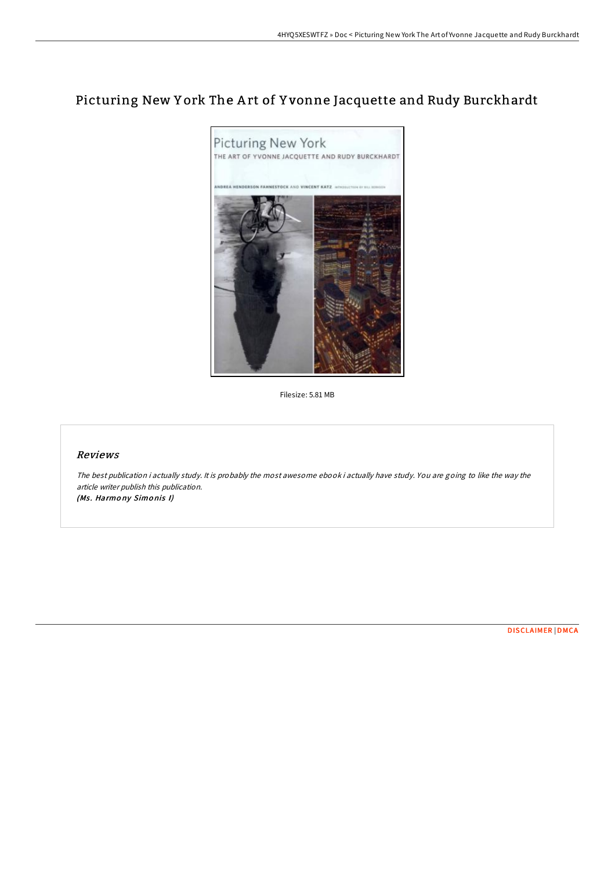# Picturing New Y ork The A rt of Y vonne Jacquette and Rudy Burckhardt



Filesize: 5.81 MB

### Reviews

The best publication i actually study. It is probably the most awesome ebook i actually have study. You are going to like the way the article writer publish this publication. (Ms. Harmony Simonis I)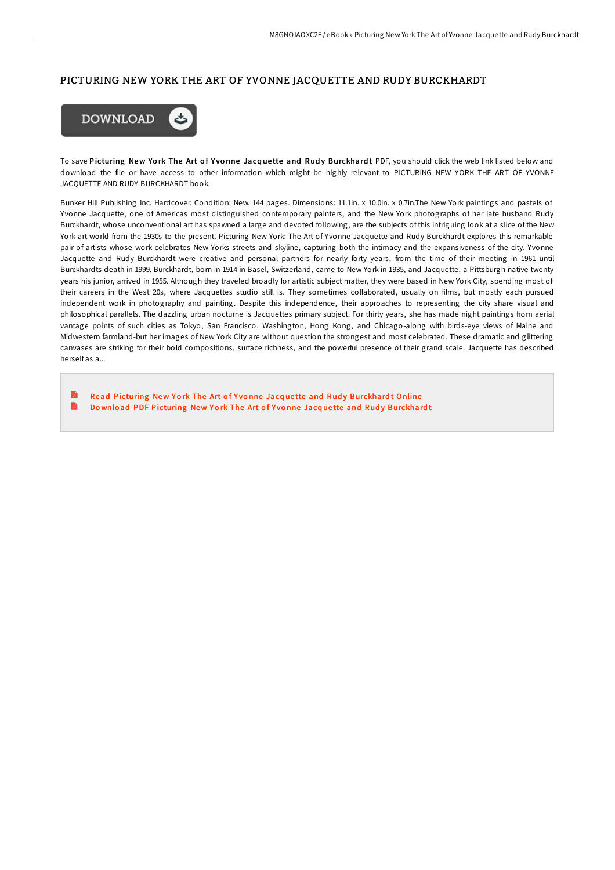### PICTURING NEW YORK THE ART OF YVONNE JACQUETTE AND RUDY BURCKHARDT



To save Picturing New York The Art of Yvonne Jacquette and Rudy Burckhardt PDF, you should click the web link listed below and download the file or have access to other information which might be highly relevant to PICTURING NEW YORK THE ART OF YVONNE JACQUETTE AND RUDY BURCKHARDT book.

Bunker Hill Publishing Inc. Hardcover. Condition: New. 144 pages. Dimensions: 11.1in. x 10.0in. x 0.7in.The New York paintings and pastels of Yvonne Jacquette, one of Americas most distinguished contemporary painters, and the New York photographs of her late husband Rudy Burckhardt, whose unconventional art has spawned a large and devoted following, are the subjects of this intriguing look at a slice of the New York art world from the 1930s to the present. Picturing New York: The Art of Yvonne Jacquette and Rudy Burckhardt explores this remarkable pair of artists whose work celebrates New Yorks streets and skyline, capturing both the intimacy and the expansiveness of the city. Yvonne Jacquette and Rudy Burckhardt were creative and personal partners for nearly forty years, from the time of their meeting in 1961 until Burckhardts death in 1999. Burckhardt, born in 1914 in Basel, Switzerland, came to New York in 1935, and Jacquette, a Pittsburgh native twenty years his junior, arrived in 1955. Although they traveled broadly for artistic subject matter, they were based in New York City, spending most of their careers in the West 20s, where Jacquettes studio still is. They sometimes collaborated, usually on films, but mostly each pursued independent work in photography and painting. Despite this independence, their approaches to representing the city share visual and philosophical parallels. The dazzling urban nocturne is Jacquettes primary subject. For thirty years, she has made night paintings from aerial vantage points of such cities as Tokyo, San Francisco, Washington, Hong Kong, and Chicago-along with birds-eye views of Maine and Midwestern farmland-but her images of New York City are without question the strongest and most celebrated. These dramatic and glittering canvases are striking for their bold compositions, surface richness, and the powerful presence of their grand scale. Jacquette has described herself as a...

 $\mathbf{E}$ Read Picturing New York The Art of Yvonne Jacquette and Rudy [Burckhard](http://almighty24.tech/picturing-new-york-the-art-of-yvonne-jacquette-a.html)t Online B Download PDF Picturing New York The Art of Yvonne Jacquette and Rudy [Burckhard](http://almighty24.tech/picturing-new-york-the-art-of-yvonne-jacquette-a.html)t